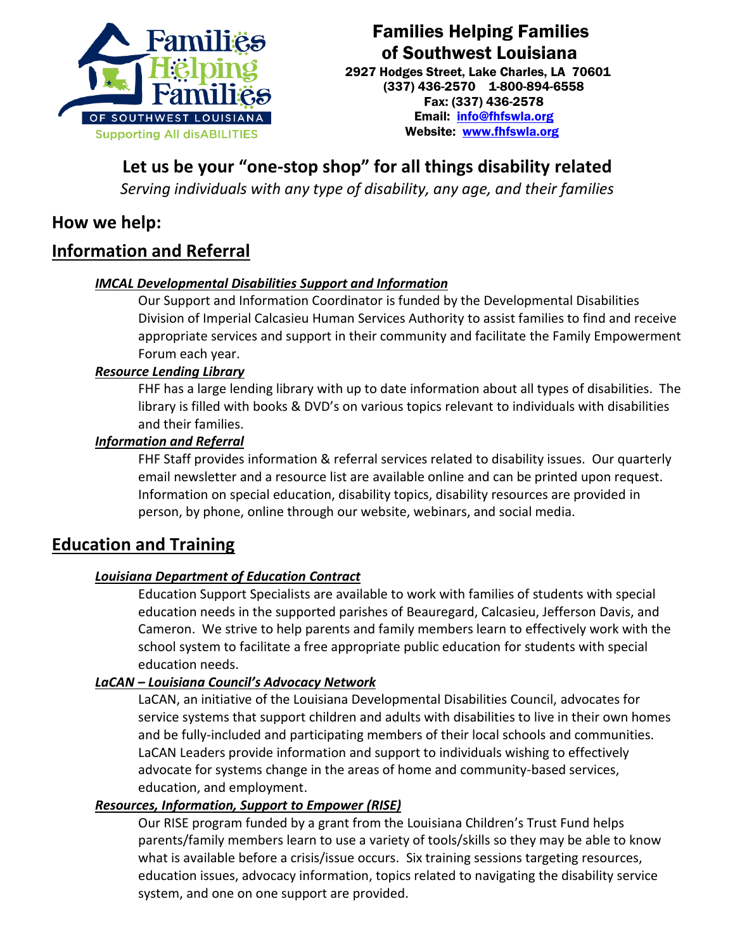

## Families Helping Families of Southwest Louisiana

2927 Hodges Street, Lake Charles, LA 70601 (337) 436-2570 1-800-894-6558 Fax: (337) 436-2578 Email: [info@fhfswla.org](mailto:info@fhfswla.org)  Website: [www.fhfswla.org](http://www.fhfswla.org/) 

# **Let us be your "one-stop shop" for all things disability related**

*Serving individuals with any type of disability, any age, and their families* 

## **How we help:**

## **Information and Referral**

## *IMCAL Developmental Disabilities Support and Information*

Our Support and Information Coordinator is funded by the Developmental Disabilities Division of Imperial Calcasieu Human Services Authority to assist families to find and receive appropriate services and support in their community and facilitate the Family Empowerment Forum each year.

### *Resource Lending Library*

 FHF has a large lending library with up to date information about all types of disabilities. The library is filled with books & DVD's on various topics relevant to individuals with disabilities and their families.

#### *Information and Referral*

FHF Staff provides information & referral services related to disability issues. Our quarterly email newsletter and a resource list are available online and can be printed upon request. Information on special education, disability topics, disability resources are provided in person, by phone, online through our website, webinars, and social media.

## **Education and Training**

### *Louisiana Department of Education Contract*

Education Support Specialists are available to work with families of students with special education needs in the supported parishes of Beauregard, Calcasieu, Jefferson Davis, and Cameron. We strive to help parents and family members learn to effectively work with the school system to facilitate a free appropriate public education for students with special education needs.

### *LaCAN – Louisiana Council's Advocacy Network*

LaCAN, an initiative of the Louisiana Developmental Disabilities Council, advocates for service systems that support children and adults with disabilities to live in their own homes and be fully-included and participating members of their local schools and communities. LaCAN Leaders provide information and support to individuals wishing to effectively advocate for systems change in the areas of home and community-based services, education, and employment.

### *Resources, Information, Support to Empower (RISE)*

Our RISE program funded by a grant from the Louisiana Children's Trust Fund helps parents/family members learn to use a variety of tools/skills so they may be able to know what is available before a crisis/issue occurs. Six training sessions targeting resources, education issues, advocacy information, topics related to navigating the disability service system, and one on one support are provided.